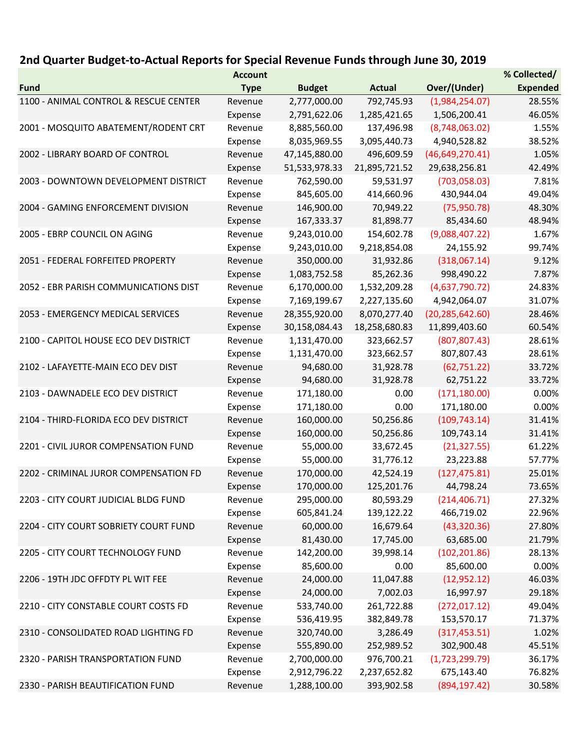## 2nd Quarter Budget-to-Actual Reports for Special Revenue Funds through June 30, 2019

|                                       | <b>Account</b> |               |               |                   | % Collected/    |
|---------------------------------------|----------------|---------------|---------------|-------------------|-----------------|
| <b>Fund</b>                           | <b>Type</b>    | <b>Budget</b> | <b>Actual</b> | Over/(Under)      | <b>Expended</b> |
| 1100 - ANIMAL CONTROL & RESCUE CENTER | Revenue        | 2,777,000.00  | 792,745.93    | (1,984,254.07)    | 28.55%          |
|                                       | Expense        | 2,791,622.06  | 1,285,421.65  | 1,506,200.41      | 46.05%          |
| 2001 - MOSQUITO ABATEMENT/RODENT CRT  | Revenue        | 8,885,560.00  | 137,496.98    | (8,748,063.02)    | 1.55%           |
|                                       | Expense        | 8,035,969.55  | 3,095,440.73  | 4,940,528.82      | 38.52%          |
| 2002 - LIBRARY BOARD OF CONTROL       | Revenue        | 47,145,880.00 | 496,609.59    | (46, 649, 270.41) | 1.05%           |
|                                       | Expense        | 51,533,978.33 | 21,895,721.52 | 29,638,256.81     | 42.49%          |
| 2003 - DOWNTOWN DEVELOPMENT DISTRICT  | Revenue        | 762,590.00    | 59,531.97     | (703,058.03)      | 7.81%           |
|                                       | Expense        | 845,605.00    | 414,660.96    | 430,944.04        | 49.04%          |
| 2004 - GAMING ENFORCEMENT DIVISION    | Revenue        | 146,900.00    | 70,949.22     | (75,950.78)       | 48.30%          |
|                                       | Expense        | 167,333.37    | 81,898.77     | 85,434.60         | 48.94%          |
| 2005 - EBRP COUNCIL ON AGING          | Revenue        | 9,243,010.00  | 154,602.78    | (9,088,407.22)    | 1.67%           |
|                                       | Expense        | 9,243,010.00  | 9,218,854.08  | 24,155.92         | 99.74%          |
| 2051 - FEDERAL FORFEITED PROPERTY     | Revenue        | 350,000.00    | 31,932.86     | (318,067.14)      | 9.12%           |
|                                       | Expense        | 1,083,752.58  | 85,262.36     | 998,490.22        | 7.87%           |
| 2052 - EBR PARISH COMMUNICATIONS DIST | Revenue        | 6,170,000.00  | 1,532,209.28  | (4,637,790.72)    | 24.83%          |
|                                       | Expense        | 7,169,199.67  | 2,227,135.60  | 4,942,064.07      | 31.07%          |
| 2053 - EMERGENCY MEDICAL SERVICES     | Revenue        | 28,355,920.00 | 8,070,277.40  | (20, 285, 642.60) | 28.46%          |
|                                       | Expense        | 30,158,084.43 | 18,258,680.83 | 11,899,403.60     | 60.54%          |
| 2100 - CAPITOL HOUSE ECO DEV DISTRICT | Revenue        | 1,131,470.00  | 323,662.57    | (807, 807.43)     | 28.61%          |
|                                       | Expense        | 1,131,470.00  | 323,662.57    | 807,807.43        | 28.61%          |
| 2102 - LAFAYETTE-MAIN ECO DEV DIST    | Revenue        | 94,680.00     | 31,928.78     | (62, 751.22)      | 33.72%          |
|                                       | Expense        | 94,680.00     | 31,928.78     | 62,751.22         | 33.72%          |
| 2103 - DAWNADELE ECO DEV DISTRICT     | Revenue        | 171,180.00    | 0.00          | (171, 180.00)     | 0.00%           |
|                                       | Expense        | 171,180.00    | 0.00          | 171,180.00        | 0.00%           |
| 2104 - THIRD-FLORIDA ECO DEV DISTRICT | Revenue        | 160,000.00    | 50,256.86     | (109, 743.14)     | 31.41%          |
|                                       | Expense        | 160,000.00    | 50,256.86     | 109,743.14        | 31.41%          |
| 2201 - CIVIL JUROR COMPENSATION FUND  | Revenue        | 55,000.00     | 33,672.45     | (21, 327.55)      | 61.22%          |
|                                       | Expense        | 55,000.00     | 31,776.12     | 23,223.88         | 57.77%          |
| 2202 - CRIMINAL JUROR COMPENSATION FD | Revenue        | 170,000.00    | 42,524.19     | (127, 475.81)     | 25.01%          |
|                                       | Expense        | 170,000.00    | 125,201.76    | 44,798.24         | 73.65%          |
| 2203 - CITY COURT JUDICIAL BLDG FUND  | Revenue        | 295,000.00    | 80,593.29     | (214, 406.71)     | 27.32%          |
|                                       | Expense        | 605,841.24    | 139,122.22    | 466,719.02        | 22.96%          |
| 2204 - CITY COURT SOBRIETY COURT FUND | Revenue        | 60,000.00     | 16,679.64     | (43,320.36)       | 27.80%          |
|                                       | Expense        | 81,430.00     | 17,745.00     | 63,685.00         | 21.79%          |
| 2205 - CITY COURT TECHNOLOGY FUND     | Revenue        | 142,200.00    | 39,998.14     | (102, 201.86)     | 28.13%          |
|                                       | Expense        | 85,600.00     | 0.00          | 85,600.00         | 0.00%           |
| 2206 - 19TH JDC OFFDTY PL WIT FEE     | Revenue        | 24,000.00     | 11,047.88     | (12,952.12)       | 46.03%          |
|                                       | Expense        | 24,000.00     | 7,002.03      | 16,997.97         | 29.18%          |
| 2210 - CITY CONSTABLE COURT COSTS FD  | Revenue        | 533,740.00    | 261,722.88    | (272, 017.12)     | 49.04%          |
|                                       | Expense        | 536,419.95    | 382,849.78    | 153,570.17        | 71.37%          |
| 2310 - CONSOLIDATED ROAD LIGHTING FD  | Revenue        | 320,740.00    | 3,286.49      | (317, 453.51)     | 1.02%           |
|                                       | Expense        | 555,890.00    | 252,989.52    | 302,900.48        | 45.51%          |
| 2320 - PARISH TRANSPORTATION FUND     | Revenue        | 2,700,000.00  | 976,700.21    | (1,723,299.79)    | 36.17%          |
|                                       | Expense        | 2,912,796.22  | 2,237,652.82  | 675,143.40        | 76.82%          |
| 2330 - PARISH BEAUTIFICATION FUND     | Revenue        | 1,288,100.00  | 393,902.58    | (894, 197.42)     | 30.58%          |